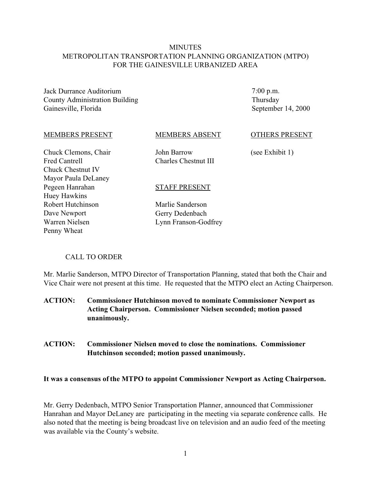# **MINUTES** METROPOLITAN TRANSPORTATION PLANNING ORGANIZATION (MTPO) FOR THE GAINESVILLE URBANIZED AREA

Jack Durrance Auditorium County Administration Building Gainesville, Florida

7:00 p.m. Thursday September 14, 2000

#### MEMBERS PRESENT

MEMBERS ABSENT

Chuck Clemons, Chair Fred Cantrell Chuck Chestnut IV Mayor Paula DeLaney Pegeen Hanrahan Huey Hawkins Robert Hutchinson Dave Newport Warren Nielsen Penny Wheat

John Barrow Charles Chestnut III

STAFF PRESENT

Marlie Sanderson Gerry Dedenbach Lynn Franson-Godfrey

#### OTHERS PRESENT

(see Exhibit 1)

#### CALL TO ORDER

Mr. Marlie Sanderson, MTPO Director of Transportation Planning, stated that both the Chair and Vice Chair were not present at this time. He requested that the MTPO elect an Acting Chairperson.

**ACTION: Commissioner Hutchinson moved to nominate Commissioner Newport as Acting Chairperson. Commissioner Nielsen seconded; motion passed unanimously.**

**ACTION: Commissioner Nielsen moved to close the nominations. Commissioner Hutchinson seconded; motion passed unanimously.**

#### **It was a consensus of the MTPO to appoint Commissioner Newport as Acting Chairperson.**

Mr. Gerry Dedenbach, MTPO Senior Transportation Planner, announced that Commissioner Hanrahan and Mayor DeLaney are participating in the meeting via separate conference calls. He also noted that the meeting is being broadcast live on television and an audio feed of the meeting was available via the County's website.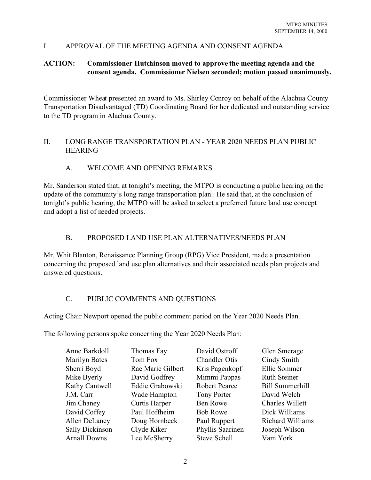# I. APPROVAL OF THE MEETING AGENDA AND CONSENT AGENDA

# **ACTION: Commissioner Hutchinson moved to approve the meeting agenda and the consent agenda. Commissioner Nielsen seconded; motion passed unanimously.**

Commissioner Wheat presented an award to Ms. Shirley Conroy on behalf of the Alachua County Transportation Disadvantaged (TD) Coordinating Board for her dedicated and outstanding service to the TD program in Alachua County.

## II. LONG RANGE TRANSPORTATION PLAN - YEAR 2020 NEEDS PLAN PUBLIC HEARING

# A. WELCOME AND OPENING REMARKS

Mr. Sanderson stated that, at tonight's meeting, the MTPO is conducting a public hearing on the update of the community's long range transportation plan. He said that, at the conclusion of tonight's public hearing, the MTPO will be asked to select a preferred future land use concept and adopt a list of needed projects.

# B. PROPOSED LAND USE PLAN ALTERNATIVES/NEEDS PLAN

Mr. Whit Blanton, Renaissance Planning Group (RPG) Vice President, made a presentation concerning the proposed land use plan alternatives and their associated needs plan projects and answered questions.

# C. PUBLIC COMMENTS AND QUESTIONS

Acting Chair Newport opened the public comment period on the Year 2020 Needs Plan.

The following persons spoke concerning the Year 2020 Needs Plan:

| Anne Barkdoll          | Thomas Fay        | David Ostroff        | Glen Smerage            |
|------------------------|-------------------|----------------------|-------------------------|
| <b>Marilyn Bates</b>   | Tom Fox           | <b>Chandler Otis</b> | Cindy Smith             |
| Sherri Boyd            | Rae Marie Gilbert | Kris Pagenkopf       | Ellie Sommer            |
| Mike Byerly            | David Godfrey     | Mimmi Pappas         | <b>Ruth Steiner</b>     |
| Kathy Cantwell         | Eddie Grabowski   | <b>Robert Pearce</b> | <b>Bill Summerhill</b>  |
| J.M. Carr              | Wade Hampton      | Tony Porter          | David Welch             |
| Jim Chaney             | Curtis Harper     | Ben Rowe             | Charles Willett         |
| David Coffey           | Paul Hoffheim     | <b>Bob Rowe</b>      | Dick Williams           |
| Allen DeLaney          | Doug Hornbeck     | Paul Ruppert         | <b>Richard Williams</b> |
| <b>Sally Dickinson</b> | Clyde Kiker       | Phyllis Saarinen     | Joseph Wilson           |
| <b>Arnall Downs</b>    | Lee McSherry      | <b>Steve Schell</b>  | Vam York                |
|                        |                   |                      |                         |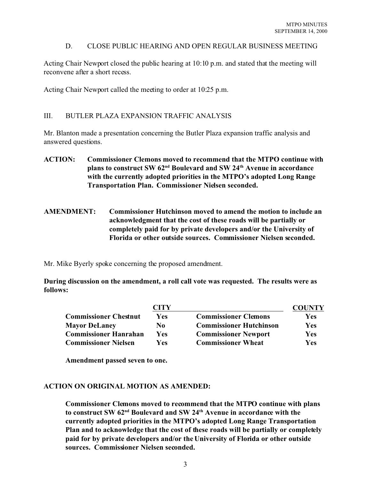# D. CLOSE PUBLIC HEARING AND OPEN REGULAR BUSINESS MEETING

Acting Chair Newport closed the public hearing at 10:10 p.m. and stated that the meeting will reconvene after a short recess.

Acting Chair Newport called the meeting to order at 10:25 p.m.

# III. BUTLER PLAZA EXPANSION TRAFFIC ANALYSIS

Mr. Blanton made a presentation concerning the Butler Plaza expansion traffic analysis and answered questions.

- **ACTION: Commissioner Clemons moved to recommend that the MTPO continue with plans to construct SW 62nd Boulevard and SW 24th Avenue in accordance with the currently adopted priorities in the MTPO's adopted Long Range Transportation Plan. Commissioner Nielsen seconded.**
- **AMENDMENT: Commissioner Hutchinson moved to amend the motion to include an acknowledgment that the cost of these roads will be partially or completely paid for by private developers and/or the University of Florida or other outside sources. Commissioner Nielsen seconded.**

Mr. Mike Byerly spoke concerning the proposed amendment.

**During discussion on the amendment, a roll call vote was requested. The results were as follows:**

|                              | CITY       |                                | COUNTY     |
|------------------------------|------------|--------------------------------|------------|
| <b>Commissioner Chestnut</b> | <b>Yes</b> | <b>Commissioner Clemons</b>    | Yes        |
| <b>Mayor DeLaney</b>         | No.        | <b>Commissioner Hutchinson</b> | <b>Yes</b> |
| <b>Commissioner Hanrahan</b> | Yes        | <b>Commissioner Newport</b>    | <b>Yes</b> |
| <b>Commissioner Nielsen</b>  | Yes        | <b>Commissioner Wheat</b>      | <b>Yes</b> |

**Amendment passed seven to one.**

#### **ACTION ON ORIGINAL MOTION AS AMENDED:**

**Commissioner Clemons moved to recommend that the MTPO continue with plans to construct SW 62nd Boulevard and SW 24th Avenue in accordance with the currently adopted priorities in the MTPO's adopted Long Range Transportation Plan and to acknowledge that the cost of these roads will be partially or completely paid for by private developers and/or the University of Florida or other outside sources. Commissioner Nielsen seconded.**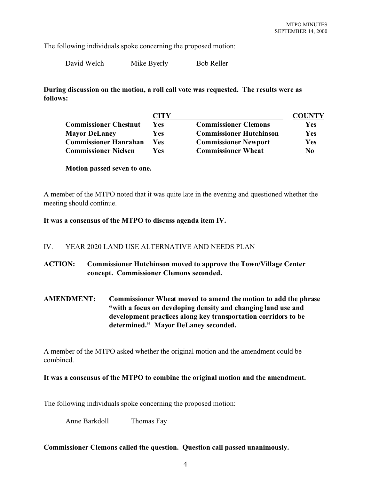The following individuals spoke concerning the proposed motion:

David Welch Mike Byerly Bob Reller

**During discussion on the motion, a roll call vote was requested. The results were as follows:**

|                              | CITY       |                                | <b>COUNTY</b> |
|------------------------------|------------|--------------------------------|---------------|
| <b>Commissioner Chestnut</b> | Yes        | <b>Commissioner Clemons</b>    | <b>Yes</b>    |
| <b>Mayor DeLaney</b>         | <b>Yes</b> | <b>Commissioner Hutchinson</b> | <b>Yes</b>    |
| <b>Commissioner Hanrahan</b> | <b>Yes</b> | <b>Commissioner Newport</b>    | <b>Yes</b>    |
| <b>Commissioner Nielsen</b>  | <b>Yes</b> | <b>Commissioner Wheat</b>      | No            |

**Motion passed seven to one.**

A member of the MTPO noted that it was quite late in the evening and questioned whether the meeting should continue.

**It was a consensus of the MTPO to discuss agenda item IV.**

#### IV. YEAR 2020 LAND USE ALTERNATIVE AND NEEDS PLAN

- **ACTION: Commissioner Hutchinson moved to approve the Town/Village Center concept. Commissioner Clemons seconded.**
- **AMENDMENT: Commissioner Wheat moved to amend the motion to add the phrase "with a focus on developing density and changing land use and development practices along key transportation corridors to be determined." Mayor DeLaney seconded.**

A member of the MTPO asked whether the original motion and the amendment could be combined.

#### **It was a consensus of the MTPO to combine the original motion and the amendment.**

The following individuals spoke concerning the proposed motion:

Anne Barkdoll Thomas Fay

#### **Commissioner Clemons called the question. Question call passed unanimously.**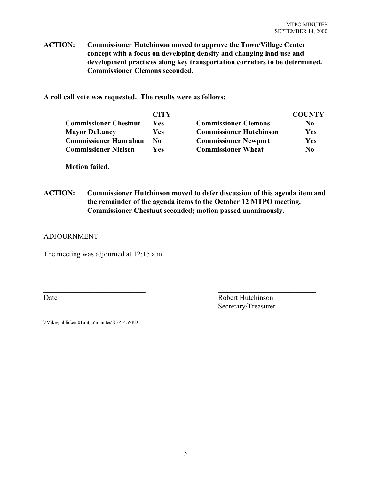**ACTION: Commissioner Hutchinson moved to approve the Town/Village Center concept with a focus on developing density and changing land use and development practices along key transportation corridors to be determined. Commissioner Clemons seconded.**

**A roll call vote was requested. The results were as follows:**

|                              | CITY       |                                |                |
|------------------------------|------------|--------------------------------|----------------|
| <b>Commissioner Chestnut</b> | <b>Yes</b> | <b>Commissioner Clemons</b>    | N <sub>0</sub> |
| <b>Mayor DeLaney</b>         | <b>Yes</b> | <b>Commissioner Hutchinson</b> | <b>Yes</b>     |
| <b>Commissioner Hanrahan</b> | No         | <b>Commissioner Newport</b>    | <b>Yes</b>     |
| <b>Commissioner Nielsen</b>  | Yes        | <b>Commissioner Wheat</b>      | No             |

**Motion failed.**

**ACTION: Commissioner Hutchinson moved to defer discussion of this agenda item and the remainder of the agenda items to the October 12 MTPO meeting. Commissioner Chestnut seconded; motion passed unanimously.**

 $\overline{\phantom{a}}$  , and the contract of the contract of the contract of the contract of the contract of the contract of the contract of the contract of the contract of the contract of the contract of the contract of the contrac

## ADJOURNMENT

The meeting was adjourned at 12:15 a.m.

Date Robert Hutchinson Secretary/Treasurer

\\Mike\public\em01\mtpo\minutes\SEP14.WPD